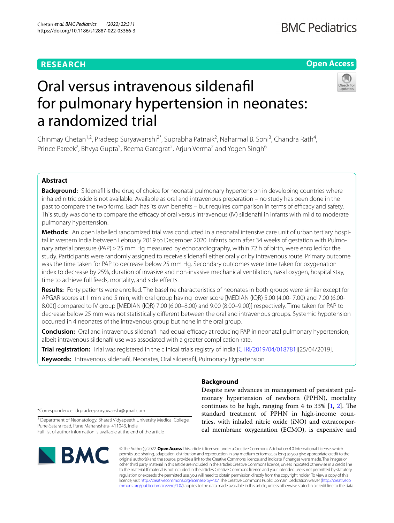# **RESEARCH**

## **Open Access**



# Oral versus intravenous sildenafl for pulmonary hypertension in neonates: a randomized trial

Chinmay Chetan<sup>1,2</sup>, Pradeep Suryawanshi<sup>2\*</sup>, Suprabha Patnaik<sup>2</sup>, Naharmal B. Soni<sup>3</sup>, Chandra Rath<sup>4</sup>, Prince Pareek<sup>2</sup>, Bhvya Gupta<sup>5</sup>, Reema Garegrat<sup>2</sup>, Arjun Verma<sup>2</sup> and Yogen Singh<sup>6</sup>

### **Abstract**

**Background:** Sildenafl is the drug of choice for neonatal pulmonary hypertension in developing countries where inhaled nitric oxide is not available. Available as oral and intravenous preparation – no study has been done in the past to compare the two forms. Each has its own benefits – but requires comparison in terms of efficacy and safety. This study was done to compare the efficacy of oral versus intravenous (IV) sildenafil in infants with mild to moderate pulmonary hypertension.

**Methods:** An open labelled randomized trial was conducted in a neonatal intensive care unit of urban tertiary hospital in western India between February 2019 to December 2020. Infants born after 34 weeks of gestation with Pulmonary arterial pressure (PAP) > 25 mm Hg measured by echocardiography, within 72 h of birth, were enrolled for the study. Participants were randomly assigned to receive sildenafl either orally or by intravenous route. Primary outcome was the time taken for PAP to decrease below 25 mm Hg. Secondary outcomes were time taken for oxygenation index to decrease by 25%, duration of invasive and non-invasive mechanical ventilation, nasal oxygen, hospital stay, time to achieve full feeds, mortality, and side effects.

**Results:** Forty patients were enrolled. The baseline characteristics of neonates in both groups were similar except for APGAR scores at 1 min and 5 min, with oral group having lower score [MEDIAN (IQR) 5.00 (4.00- 7.00) and 7.00 (6.00- 8.00)] compared to IV group [MEDIAN (IQR) 7.00 (6.00–8.00) and 9.00 (8.00–9.00)] respectively. Time taken for PAP to decrease below 25 mm was not statistically diferent between the oral and intravenous groups. Systemic hypotension occurred in 4 neonates of the intravenous group but none in the oral group.

**Conclusion:** Oral and intravenous sildenafil had equal efficacy at reducing PAP in neonatal pulmonary hypertension, albeit intravenous sildenafl use was associated with a greater complication rate.

**Trial registration:** Trial was registered in the clinical trials registry of India [[CTRI/2019/04/018781\]](http://www.ctri.nic.in/Clinicaltrials/showallp.php?mid1=32217&EncHid=&userName=sildenafil)[25/04/2019].

**Keywords:** Intravenous sildenafl, Neonates, Oral sildenafl, Pulmonary Hypertension

**Background** Despite new advances in management of persistent pul-

continues to be high, ranging from 4 to  $33\%$  [[1,](#page-6-0) [2](#page-6-1)]. The standard treatment of PPHN in high-income coun-\*Correspondence: drpradeepsuryawanshi@gmail.com

<sup>2</sup> Department of Neonatology, Bharati Vidyapeeth University Medical College, Pune-Satara road, Pune Maharashtra- 411043, India Full list of author information is available at the end of the article



© The Author(s) 2022. **Open Access** This article is licensed under a Creative Commons Attribution 4.0 International License, which permits use, sharing, adaptation, distribution and reproduction in any medium or format, as long as you give appropriate credit to the original author(s) and the source, provide a link to the Creative Commons licence, and indicate if changes were made. The images or other third party material in this article are included in the article's Creative Commons licence, unless indicated otherwise in a credit line to the material. If material is not included in the article's Creative Commons licence and your intended use is not permitted by statutory regulation or exceeds the permitted use, you will need to obtain permission directly from the copyright holder. To view a copy of this licence, visit [http://creativecommons.org/licenses/by/4.0/.](http://creativecommons.org/licenses/by/4.0/) The Creative Commons Public Domain Dedication waiver ([http://creativeco](http://creativecommons.org/publicdomain/zero/1.0/) [mmons.org/publicdomain/zero/1.0/](http://creativecommons.org/publicdomain/zero/1.0/)) applies to the data made available in this article, unless otherwise stated in a credit line to the data.

monary hypertension of newborn (PPHN), mortality

tries, with inhaled nitric oxide (iNO) and extracorporeal membrane oxygenation (ECMO), is expensive and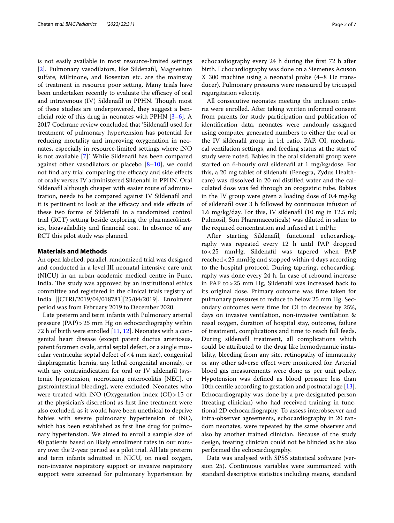is not easily available in most resource-limited settings [[2\]](#page-6-1). Pulmonary vasodilators, like Sildenafl, Magnesium sulfate, Milrinone, and Bosentan etc. are the mainstay of treatment in resource poor setting. Many trials have been undertaken recently to evaluate the efficacy of oral and intravenous (IV) Sildenafil in PPHN. Though most of these studies are underpowered, they suggest a beneficial role of this drug in neonates with PPHN  $[3-6]$  $[3-6]$ . A 2017 Cochrane review concluded that 'Sildenafl used for treatment of pulmonary hypertension has potential for reducing mortality and improving oxygenation in neonates, especially in resource-limited settings where iNO is not available [[7](#page-6-4)].' While Sildenafl has been compared against other vasodilators or placebo  $[8-10]$  $[8-10]$  $[8-10]$ , we could not find any trial comparing the efficacy and side effects of orally versus IV administered Sildenafl in PPHN. Oral Sildenafl although cheaper with easier route of administration, needs to be compared against IV Sildenafl and it is pertinent to look at the efficacy and side effects of these two forms of Sildenafl in a randomized control trial (RCT) setting beside exploring the pharmacokinetics, bioavailability and fnancial cost. In absence of any RCT this pilot study was planned.

#### **Materials and Methods**

An open labelled, parallel, randomized trial was designed and conducted in a level III neonatal intensive care unit (NICU) in an urban academic medical centre in Pune, India. The study was approved by an institutional ethics committee and registered in the clinical trials registry of India [[CTRI/2019/04/018781][25/04/2019]. Enrolment period was from February 2019 to December 2020.

Late preterm and term infants with Pulmonary arterial pressure (PAP)>25 mm Hg on echocardiography within 72 h of birth were enrolled  $[11, 12]$  $[11, 12]$  $[11, 12]$ . Neonates with a congenital heart disease (except patent ductus arteriosus, patent foramen ovale, atrial septal defect, or a single muscular ventricular septal defect of<4 mm size), congenital diaphragmatic hernia, any lethal congenital anomaly, or with any contraindication for oral or IV sildenafil (systemic hypotension, necrotizing enterocolitis [NEC], or gastrointestinal bleeding), were excluded. Neonates who were treated with iNO (Oxygenation index (OI)>15 or at the physician's discretion) as frst line treatment were also excluded, as it would have been unethical to deprive babies with severe pulmonary hypertension of iNO, which has been established as frst line drug for pulmonary hypertension. We aimed to enroll a sample size of 40 patients based on likely enrollment rates in our nursery over the 2-year period as a pilot trial. All late preterm and term infants admitted in NICU, on nasal oxygen, non-invasive respiratory support or invasive respiratory support were screened for pulmonary hypertension by echocardiography every 24 h during the frst 72 h after birth. Echocardiography was done on a Siemenes Acuson X 300 machine using a neonatal probe (4–8 Hz transducer). Pulmonary pressures were measured by tricuspid regurgitation velocity.

All consecutive neonates meeting the inclusion criteria were enrolled. After taking written informed consent from parents for study participation and publication of identifcation data, neonates were randomly assigned using computer generated numbers to either the oral or the IV sildenafl group in 1:1 ratio. PAP, OI, mechanical ventilation settings, and feeding status at the start of study were noted. Babies in the oral sildenafl group were started on 6-hourly oral sildenafl at 1 mg/kg/dose. For this, a 20 mg tablet of sildenafl (Penegra, Zydus Healthcare) was dissolved in 20 ml distilled water and the calculated dose was fed through an orogastric tube. Babies in the IV group were given a loading dose of 0.4 mg/kg of sildenafl over 3 h followed by continuous infusion of 1.6 mg/kg/day. For this, IV sildenafl (10 mg in 12.5 ml; Pulmosil, Sun Pharamaceuticals) was diluted in saline to the required concentration and infused at 1 ml/hr.

After starting Sildenafl, functional echocardiography was repeated every 12 h until PAP dropped to<25 mmHg. Sildenafl was tapered when PAP reached<25 mmHg and stopped within 4 days according to the hospital protocol. During tapering, echocardiography was done every 24 h. In case of rebound increase in PAP to>25 mm Hg, Sildenafl was increased back to its original dose. Primary outcome was time taken for pulmonary pressures to reduce to below 25 mm Hg. Secondary outcomes were time for OI to decrease by 25%, days on invasive ventilation, non-invasive ventilation & nasal oxygen, duration of hospital stay, outcome, failure of treatment, complications and time to reach full feeds. During sildenafl treatment, all complications which could be attributed to the drug like hemodynamic instability, bleeding from any site, retinopathy of immaturity or any other adverse efect were monitored for. Arterial blood gas measurements were done as per unit policy. Hypotension was defned as blood pressure less than 10th centile according to gestation and postnatal age [\[13](#page-6-9)]. Echocardiography was done by a pre-designated person (treating clinician) who had received training in functional 2D echocardiography. To assess interobserver and intra-observer agreements, echocardiography in 20 random neonates, were repeated by the same observer and also by another trained clinician. Because of the study design, treating clinician could not be blinded as he also performed the echocardiography.

Data was analysed with SPSS statistical software (version 25). Continuous variables were summarized with standard descriptive statistics including means, standard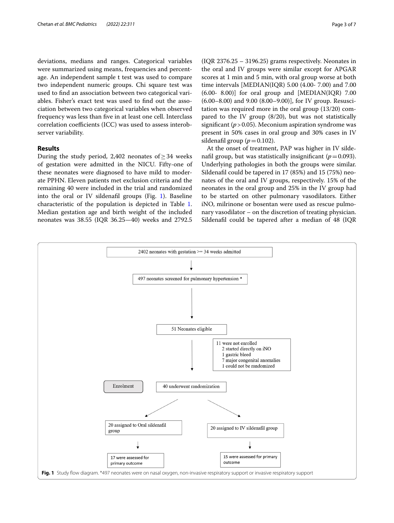deviations, medians and ranges. Categorical variables were summarized using means, frequencies and percentage. An independent sample t test was used to compare two independent numeric groups. Chi square test was used to fnd an association between two categorical variables. Fisher's exact test was used to fnd out the association between two categorical variables when observed frequency was less than fve in at least one cell. Interclass correlation coefficients (ICC) was used to assess interobserver variability.

#### **Results**

During the study period, 2,402 neonates of > 34 weeks of gestation were admitted in the NICU. Fifty-one of these neonates were diagnosed to have mild to moderate PPHN. Eleven patients met exclusion criteria and the remaining 40 were included in the trial and randomized into the oral or IV sildenafil groups (Fig. [1](#page-2-0)). Baseline characteristic of the population is depicted in Table [1](#page-3-0). Median gestation age and birth weight of the included neonates was 38.55 (IQR 36.25—40) weeks and 2792.5

(IQR 2376.25 – 3196.25) grams respectively. Neonates in the oral and IV groups were similar except for APGAR scores at 1 min and 5 min, with oral group worse at both time intervals [MEDIAN(IQR) 5.00 (4.00- 7.00) and 7.00  $(6.00- 8.00)$ ] for oral group and [MEDIAN(IQR) 7.00 (6.00–8.00) and 9.00 (8.00–9.00)], for IV group. Resuscitation was required more in the oral group (13/20) compared to the IV group (8/20), but was not statistically significant ( $p > 0.05$ ). Meconium aspiration syndrome was present in 50% cases in oral group and 30% cases in IV sildenafil group  $(p=0.102)$ .

At the onset of treatment, PAP was higher in IV sildenafil group, but was statistically insignificant  $(p=0.093)$ . Underlying pathologies in both the groups were similar. Sildenafl could be tapered in 17 (85%) and 15 (75%) neonates of the oral and IV groups, respectively. 15% of the neonates in the oral group and 25% in the IV group had to be started on other pulmonary vasodilators. Either iNO, milrinone or bosentan were used as rescue pulmonary vasodilator – on the discretion of treating physician. Sildenafl could be tapered after a median of 48 (IQR

<span id="page-2-0"></span>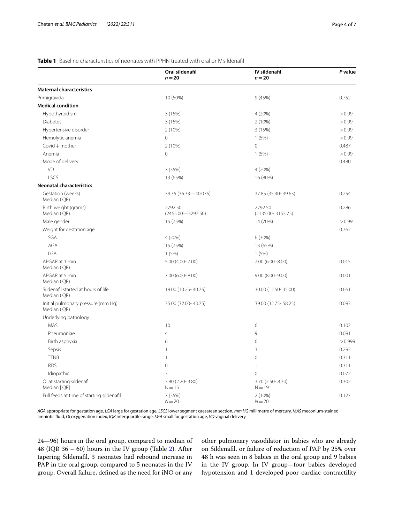#### <span id="page-3-0"></span>**Table 1** Baseline characteristics of neonates with PPHN treated with oral or IV sildenafil

|                                                     | Oral sildenafil<br>$n = 20$      | IV sildenafil<br>$n = 20$        | P value |
|-----------------------------------------------------|----------------------------------|----------------------------------|---------|
| <b>Maternal characteristics</b>                     |                                  |                                  |         |
| Primigravida                                        | 10 (50%)                         | 9(45%)                           | 0.752   |
| <b>Medical condition</b>                            |                                  |                                  |         |
| Hypothyroidism                                      | 3 (15%)                          | 4 (20%)                          | > 0.99  |
| <b>Diabetes</b>                                     | 3 (15%)                          | 2(10%)                           | > 0.99  |
| Hypertensive disorder                               | 2 (10%)                          | 3(15%)                           | > 0.99  |
| Hemolytic anemia                                    | $\mathbf 0$                      | 1(5%)                            | > 0.99  |
| Covid $+$ mother                                    | 2(10%)                           | $\overline{0}$                   | 0.487   |
| Anemia                                              | $\circ$                          | 1(5%)                            | > 0.99  |
| Mode of delivery                                    |                                  |                                  | 0.480   |
| VD                                                  | 7 (35%)                          | 4(20%)                           |         |
| LSCS                                                | 13 (65%)                         | 16 (80%)                         |         |
| <b>Neonatal characteristics</b>                     |                                  |                                  |         |
| Gestation (weeks)<br>Median (IQR)                   | 39.35 (36.33-40.075)             | 37.85 (35.40-39.63)              | 0.254   |
| Birth weight (grams)<br>Median (IQR)                | 2792.50<br>$(2465.00 - 3297.50)$ | 2792.50<br>$(2135.00 - 3153.75)$ | 0.286   |
| Male gender                                         | 15 (75%)                         | 14 (70%)                         | > 0.99  |
| Weight for gestation age                            |                                  |                                  | 0.762   |
| SGA                                                 | 4 (20%)                          | 6(30%)                           |         |
| AGA                                                 | 15 (75%)                         | 13 (65%)                         |         |
| <b>LGA</b>                                          | 1(5%)                            | 1(5%)                            |         |
| APGAR at 1 min<br>Median (IQR)                      | 5.00 (4.00-7.00)                 | 7.00 (6.00-8.00)                 | 0.015   |
| APGAR at 5 min<br>Median (IQR)                      | $7.00(6.00 - 8.00)$              | $9.00(8.00 - 9.00)$              | 0.001   |
| Sildenafil started at hours of life<br>Median (IOR) | 19.00 (10.25-40.75)              | 30.00 (12.50-35.00)              | 0.661   |
| Initial pulmonary pressure (mm Hq)<br>Median (IQR)  | 35.00 (32.00-43.75)              | 39.00 (32.75 - 58.25)            | 0.093   |
| Underlying pathology                                |                                  |                                  |         |
| <b>MAS</b>                                          | 10                               | 6                                | 0.102   |
| Pneumoniae                                          | 4                                | 9                                | 0.091   |
| Birth asphyxia                                      | 6                                | 6                                | > 0.999 |
| Sepsis                                              | $\mathbf{1}$                     | 3                                | 0.292   |
| <b>TTNB</b>                                         | $\mathbf{1}$                     | $\mathbf 0$                      | 0.311   |
| <b>RDS</b>                                          | $\mathbf 0$                      | 1                                | 0.311   |
| Idiopathic                                          | 3                                | $\Omega$                         | 0.072   |
| Ol at starting sildenafil<br>Median [IQR]           | 3.80 (2.20-3.80)<br>$N = 15$     | 3.70 (2.50-8.30)<br>$N = 19$     | 0.302   |
| Full feeds at time of starting sildenafil           | 7 (35%)<br>$N = 20$              | $2(10\%)$<br>$N = 20$            | 0.127   |

*AGA* appropriate for gestation age, *LGA* large for gestation age, *LSCS* lower segment caesarean section, *mm HG* millimetre of mercury, *MAS* meconium-stained amniotic fuid, *OI* oxygenation index, *IQR* interquartile range, *SGA* small for gestation age, *VD* vaginal delivery

24—96) hours in the oral group, compared to median of 48 (IQR 36 – 60) hours in the IV group (Table [2](#page-4-0)). After tapering Sildenafl, 3 neonates had rebound increase in PAP in the oral group, compared to 5 neonates in the IV group. Overall failure, defned as the need for iNO or any

other pulmonary vasodilator in babies who are already on Sildenafl, or failure of reduction of PAP by 25% over 48 h was seen in 8 babies in the oral group and 9 babies in the IV group. In IV group—four babies developed hypotension and 1 developed poor cardiac contractility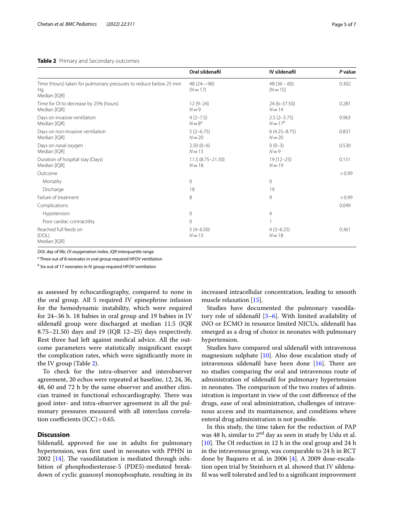#### <span id="page-4-0"></span>**Table 2** Primary and Secondary outcomes

|                                                                                        | Oral sildenafil                 | IV sildenafil                 | P value |
|----------------------------------------------------------------------------------------|---------------------------------|-------------------------------|---------|
| Time (Hours) taken for pulmonary pressures to reduce below 25 mm<br>Hq<br>Median [IQR] | $48(24 - 96)$<br>$(N=17)$       | $48(36-60)$<br>$(N = 15)$     | 0.302   |
| Time for OI to decrease by 25% (hours)<br>Median [IQR]                                 | $12(9-24)$<br>$N = 9$           | 24 (6-37.50)<br>$N = 14$      | 0.281   |
| Days on invasive ventilation<br>Median [IQR]                                           | $4(2-7.5)$<br>$N=8^a$           | $2.5(2-3.75)$<br>$N = 17^{b}$ | 0.963   |
| Days on non-invasive ventilation<br>Median [IQR]                                       | $5(2-6.75)$<br>$N = 20$         | $6(4.25 - 8.75)$<br>$N = 20$  | 0.831   |
| Days on nasal oxygen<br>Median [IQR]                                                   | $2.50(0-6)$<br>$N=13$           | $0(0-3)$<br>$N=9$             | 0.530   |
| Duration of hospital stay (Days)<br>Median [IQR]                                       | 11.5 (8.75 - 21.50)<br>$N = 18$ | $19(12 - 25)$<br>$N = 19$     | 0.151   |
| Outcome                                                                                |                                 |                               | > 0.99  |
| Mortality                                                                              | 0                               | 0                             |         |
| Discharge                                                                              | 18                              | 19                            |         |
| Failure of treatment                                                                   | 8                               | 9                             | > 0.99  |
| Complications                                                                          |                                 |                               | 0.049   |
| Hypotension                                                                            | 0                               | 4                             |         |
| Poor cardiac contractility                                                             | 0                               |                               |         |
| Reached full feeds on<br>(DOL)<br>Median [IQR]                                         | $5(4-6.50)$<br>$N = 13$         | $4(3-6.25)$<br>$N = 18$       | 0.361   |

*DOL* day of life, *OI* oxygenation index, *IQR* interquartile range

<sup>a</sup> Three out of 8 neonates in oral group required HFOV ventilation

<sup>b</sup> Six out of 17 neonates in IV group required HFOV ventilation

as assessed by echocardiography, compared to none in the oral group. All 5 required IV epinephrine infusion for the hemodynamic instability, which were required for 24–36 h. 18 babies in oral group and 19 babies in IV sildenafl group were discharged at median 11.5 (IQR 8.75–21.50) days and 19 (IQR 12–25) days respectively. Rest three had left against medical advice. All the outcome parameters were statistically insignifcant except the complication rates, which were signifcantly more in the IV group (Table [2\)](#page-4-0).

To check for the intra-observer and interobserver agreement, 20 echos were repeated at baseline, 12, 24, 36, 48, 60 and 72 h by the same observer and another clinician trained in functional echocardiography. There was good inter- and intra-observer agreement in all the pulmonary pressures measured with all interclass correlation coefficients  $(ICC) > 0.65$ .

#### **Discussion**

Sildenafl, approved for use in adults for pulmonary hypertension, was frst used in neonates with PPHN in 2002  $[14]$  $[14]$ . The vasodilatation is mediated through inhibition of phosphodiesterase-5 (PDE5)-mediated breakdown of cyclic guanosyl monophosphate, resulting in its increased intracellular concentration, leading to smooth muscle relaxation [\[15](#page-6-11)].

Studies have documented the pulmonary vasodilatory role of sildenafl [[3](#page-6-2)[–6](#page-6-3)]. With limited availability of iNO or ECMO in resource limited NICUs, sildenafl has emerged as a drug of choice in neonates with pulmonary hypertension.

Studies have compared oral sildenafl with intravenous magnesium sulphate  $[10]$  $[10]$ . Also dose escalation study of intravenous sildenafil have been done  $[16]$  $[16]$ . There are no studies comparing the oral and intravenous route of administration of sildenafl for pulmonary hypertension in neonates. The comparison of the two routes of administration is important in view of the cost diference of the drugs, ease of oral administration, challenges of intravenous access and its maintainence, and conditions where enteral drug administration is not possible.

In this study, the time taken for the reduction of PAP was 48 h, similar to  $2<sup>nd</sup>$  day as seen in study by Uslu et al. [ $10$ ]. The OI reduction in 12 h in the oral group and 24 h in the intravenous group, was comparable to 24 h in RCT done by Baquero et al. in 2006 [[4\]](#page-6-13). A 2009 dose-escalation open trial by Steinhorn et al. showed that IV sildenafl was well tolerated and led to a signifcant improvement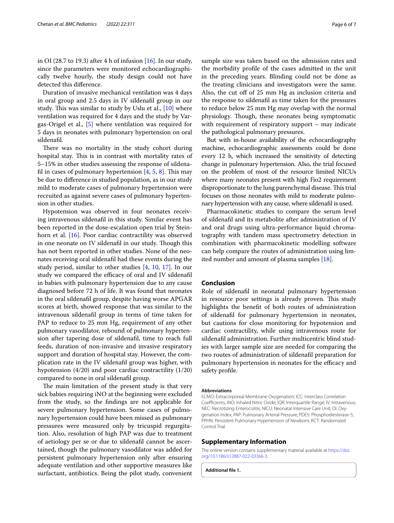in OI (28.7 to 19.3) after 4 h of infusion  $[16]$  $[16]$  $[16]$ . In our study, since the parameters were monitored echocardiographically twelve hourly, the study design could not have detected this diference.

Duration of invasive mechanical ventilation was 4 days in oral group and 2.5 days in IV sildenafl group in our study. This was similar to study by Uslu et al., [[10\]](#page-6-6) where ventilation was required for 4 days and the study by Vargas-Origel et al., [[5\]](#page-6-14) where ventilation was required for 5 days in neonates with pulmonary hypertension on oral sildenafl.

There was no mortality in the study cohort during hospital stay. This is in contrast with mortality rates of 5–15% in other studies assessing the response of sildenafil in cases of pulmonary hypertension  $[4, 5, 8]$  $[4, 5, 8]$  $[4, 5, 8]$  $[4, 5, 8]$  $[4, 5, 8]$  $[4, 5, 8]$ . This may be due to diference in studied population, as in our study mild to moderate cases of pulmonary hypertension were recruited as against severe cases of pulmonary hypertension in other studies.

Hypotension was observed in four neonates receiving intravenous sildenafl in this study. Similar event has been reported in the dose-escalation open trial by Steinhorn et al. [[16\]](#page-6-12). Poor cardiac contractility was observed in one neonate on IV sildenafil in our study. Though this has not been reported in other studies. None of the neonates receiving oral sildenafl had these events during the study period, similar to other studies [\[4,](#page-6-13) [10,](#page-6-6) [17](#page-6-15)]. In our study we compared the efficacy of oral and IV sildenafil in babies with pulmonary hypertension due to any cause diagnosed before 72 h of life. It was found that neonates in the oral sildenafl group, despite having worse APGAR scores at birth, showed response that was similar to the intravenous sildenafl group in terms of time taken for PAP to reduce to 25 mm Hg, requirement of any other pulmonary vasodilator, rebound of pulmonary hypertension after tapering dose of sildenafl, time to reach full feeds, duration of non-invasive and invasive respiratory support and duration of hospital stay. However, the complication rate in the IV sildenafl group was higher, with hypotension (4/20) and poor cardiac contractility (1/20) compared to none in oral sildenafl group.

The main limitation of the present study is that very sick babies requiring iNO at the beginning were excluded from the study, so the fndings are not applicable for severe pulmonary hypertension. Some cases of pulmonary hypertension could have been missed as pulmonary pressures were measured only by tricuspid regurgitation. Also, resolution of high PAP was due to treatment of aetiology per se or due to sildenafl cannot be ascertained, though the pulmonary vasodilator was added for persistent pulmonary hypertension only after ensuring adequate ventilation and other supportive measures like surfactant, antibiotics. Being the pilot study, convenient sample size was taken based on the admission rates and the morbidity profle of the cases admitted in the unit in the preceding years. Blinding could not be done as the treating clinicians and investigators were the same. Also, the cut off of 25 mm Hg as inclusion criteria and the response to sildenafl as time taken for the pressures to reduce below 25 mm Hg may overlap with the normal physiology. Though, these neonates being symptomatic with requirement of respiratory support – may indicate the pathological pulmonary pressures.

But with in-house availability of the echocardiography machine, echocardiographic assessments could be done every 12 h, which increased the sensitivity of detecting change in pulmonary hypertension. Also, the trial focused on the problem of most of the resource limited NICUs where many neonates present with high Fio2 requirement disproportionate to the lung parenchymal disease. This trial focuses on those neonates with mild to moderate pulmonary hypertension with any cause, where sildenafl is used.

Pharmacokinetic studies to compare the serum level of sildenafl and its metabolite after administration of IV and oral drugs using ultra-performance liquid chromatography with tandem mass spectrometry detection in combination with pharmacokinetic modelling software can help compare the routes of administration using limited number and amount of plasma samples [[18\]](#page-6-16).

#### **Conclusion**

Role of sildenafl in neonatal pulmonary hypertension in resource poor settings is already proven. This study highlights the beneft of both routes of administration of sildenafl for pulmonary hypertension in neonates, but cautions for close monitoring for hypotension and cardiac contractility, while using intravenous route for sildenafl administration. Further multicentric blind studies with larger sample size are needed for comparing the two routes of administration of sildenafl preparation for pulmonary hypertension in neonates for the efficacy and safety profle.

#### **Abbreviations**

ECMO: Extracorporeal Membrane Oxygenation; ICC: Interclass Correlation Coefficients; iNO: Inhaled Nitric Oxide; IQR: Interquartile Range; IV: Intravenous; NEC: Necrotizing Enterocolitis; NICU: Neonatal Intensive Care Unit; OI: Oxygenation Index; PAP: Pulmonary Arterial Pressure; PDE5: Phosphodiesterase-5; PPHN: Persistent Pulmonary Hypertension of Newborn; RCT: Randomized Control Trial.

#### **Supplementary Information**

The online version contains supplementary material available at [https://doi.](https://doi.org/10.1186/s12887-022-03366-3) [org/10.1186/s12887-022-03366-3](https://doi.org/10.1186/s12887-022-03366-3).

**Additional fle 1.**